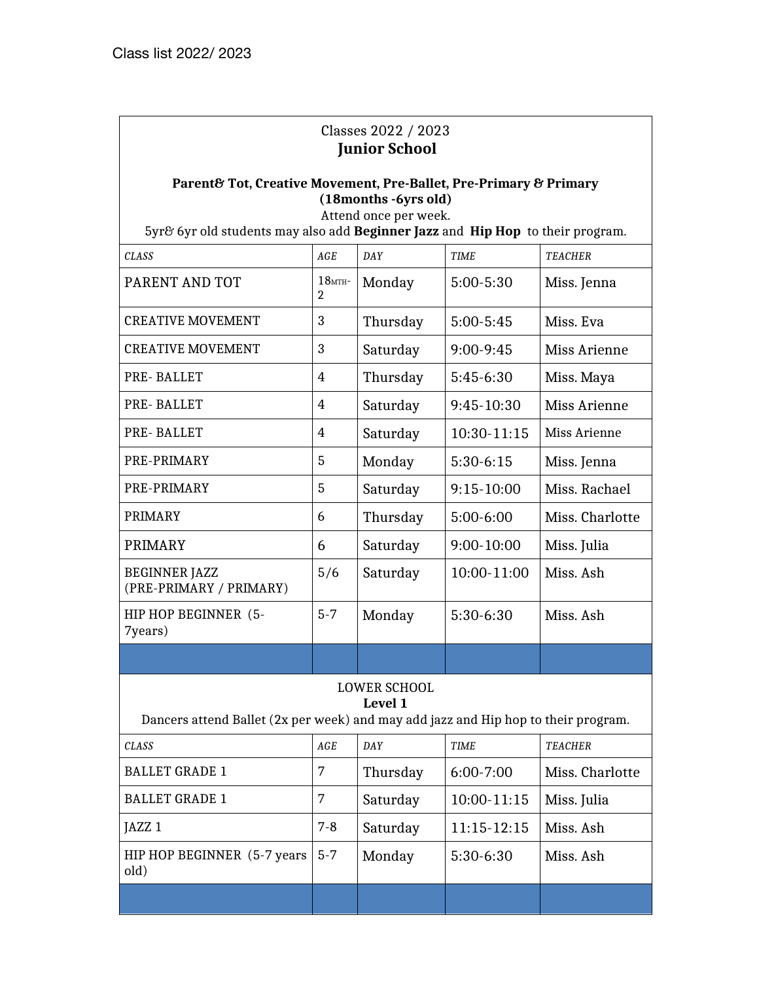# Classes 2022 / 2023  **Junior School**

### **Parent& Tot, Creative Movement, Pre-Ballet, Pre-Primary & Primary (18months -6yrs old)**

Attend once per week.

5yr& 6yr old students may also add **Beginner Jazz** and **Hip Hop** to their program.

| <b>CLASS</b>                                    | AGE                         | DAY          | TIME          | TEACHER         |
|-------------------------------------------------|-----------------------------|--------------|---------------|-----------------|
| PARENT AND TOT                                  | $18$ MTH-<br>$\overline{2}$ | Monday       | 5:00-5:30     | Miss. Jenna     |
| <b>CREATIVE MOVEMENT</b>                        | 3                           | Thursday     | $5:00 - 5:45$ | Miss. Eva       |
| <b>CREATIVE MOVEMENT</b>                        | 3                           | Saturday     | 9:00-9:45     | Miss Arienne    |
| PRE-BALLET                                      | 4                           | Thursday     | 5:45-6:30     | Miss. Maya      |
| PRE-BALLET                                      | 4                           | Saturday     | 9:45-10:30    | Miss Arienne    |
| PRE-BALLET                                      | 4                           | Saturday     | 10:30-11:15   | Miss Arienne    |
| PRE-PRIMARY                                     | 5                           | Monday       | $5:30-6:15$   | Miss. Jenna     |
| PRE-PRIMARY                                     | 5                           | Saturday     | $9:15-10:00$  | Miss. Rachael   |
| PRIMARY                                         | 6                           | Thursday     | 5:00-6:00     | Miss. Charlotte |
| <b>PRIMARY</b>                                  | 6                           | Saturday     | 9:00-10:00    | Miss. Julia     |
| <b>BEGINNER JAZZ</b><br>(PRE-PRIMARY / PRIMARY) | 5/6                         | Saturday     | 10:00-11:00   | Miss. Ash       |
| HIP HOP BEGINNER (5-<br>7years)                 | $5 - 7$                     | Monday       | 5:30-6:30     | Miss. Ash       |
|                                                 |                             |              |               |                 |
|                                                 |                             | LOWER SCHOOL |               |                 |

#### LOWER SCHOOL **Level 1**

Dancers attend Ballet (2x per week) and may add jazz and Hip hop to their program.

| <b>CLASS</b>                          | AGE     | DAY      | <b>TIME</b>   | <b>TEACHER</b>  |
|---------------------------------------|---------|----------|---------------|-----------------|
| <b>BALLET GRADE 1</b>                 | 7       | Thursday | $6:00 - 7:00$ | Miss. Charlotte |
| <b>BALLET GRADE 1</b>                 | 7       | Saturday | 10:00-11:15   | Miss. Julia     |
| JAZZ <sub>1</sub>                     | $7-8$   | Saturday | $11:15-12:15$ | Miss. Ash       |
| HIP HOP BEGINNER $(5-7$ years<br>old) | $5 - 7$ | Monday   | $5:30-6:30$   | Miss. Ash       |
|                                       |         |          |               |                 |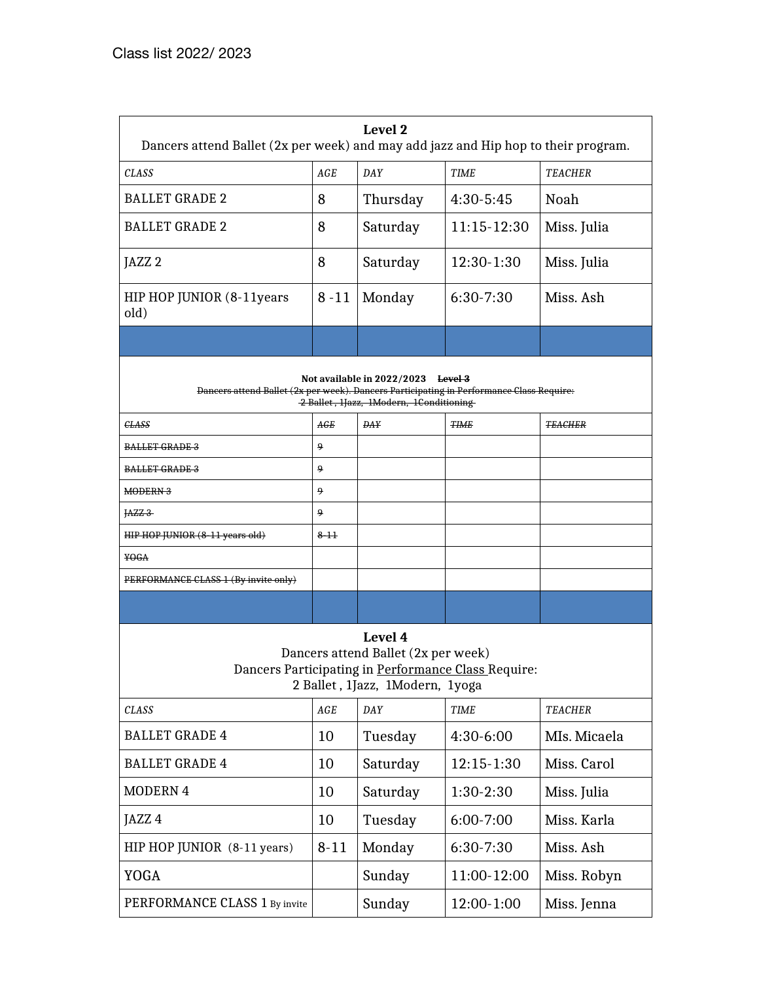| Level 2<br>Dancers attend Ballet (2x per week) and may add jazz and Hip hop to their program.                                                                             |          |            |               |                |  |
|---------------------------------------------------------------------------------------------------------------------------------------------------------------------------|----------|------------|---------------|----------------|--|
| CLASS                                                                                                                                                                     | AGE      | DAY        | <b>TIME</b>   | <b>TEACHER</b> |  |
| <b>BALLET GRADE 2</b>                                                                                                                                                     | 8        | Thursday   | $4:30-5:45$   | Noah           |  |
| <b>BALLET GRADE 2</b>                                                                                                                                                     | 8        | Saturday   | 11:15-12:30   | Miss. Julia    |  |
| JAZZ <sub>2</sub>                                                                                                                                                         | 8        | Saturday   | 12:30-1:30    | Miss. Julia    |  |
| HIP HOP JUNIOR (8-11 years<br>old)                                                                                                                                        | $8 - 11$ | Monday     | 6:30-7:30     | Miss. Ash      |  |
|                                                                                                                                                                           |          |            |               |                |  |
| Not available in 2022/2023 Level 3<br>Dancers attend Ballet (2x per week). Dancers Participating in Performance Class Require:<br>2 Ballet, 1Jazz, 1Modern, 1Conditioning |          |            |               |                |  |
| <b>CLASS</b>                                                                                                                                                              | AGE      | <b>DAY</b> | <b>TIME</b>   | <b>TEACHER</b> |  |
| <b>BALLET GRADE 3</b>                                                                                                                                                     | 9        |            |               |                |  |
| <b>BALLET GRADE 3</b>                                                                                                                                                     | 9        |            |               |                |  |
| MODERN 3                                                                                                                                                                  | ٩        |            |               |                |  |
| HZZ3                                                                                                                                                                      | 9        |            |               |                |  |
| HIP HOP JUNIOR (8-11 years old)                                                                                                                                           | $8 - 11$ |            |               |                |  |
| <del>YOGA</del>                                                                                                                                                           |          |            |               |                |  |
| PERFORMANCE CLASS 1 (By invite only)                                                                                                                                      |          |            |               |                |  |
|                                                                                                                                                                           |          |            |               |                |  |
| Level 4<br>Dancers attend Ballet (2x per week)<br>Dancers Participating in Performance Class Require:<br>2 Ballet, 1Jazz, 1Modern, 1yoga                                  |          |            |               |                |  |
| <b>CLASS</b>                                                                                                                                                              | AGE      | <b>DAY</b> | <b>TIME</b>   | <b>TEACHER</b> |  |
| <b>BALLET GRADE 4</b>                                                                                                                                                     | 10       | Tuesday    | 4:30-6:00     | MIs. Micaela   |  |
| <b>BALLET GRADE 4</b>                                                                                                                                                     | 10       | Saturday   | 12:15-1:30    | Miss. Carol    |  |
| <b>MODERN 4</b>                                                                                                                                                           | 10       | Saturday   | 1:30-2:30     | Miss. Julia    |  |
| JAZZ 4                                                                                                                                                                    | 10       | Tuesday    | $6:00 - 7:00$ | Miss. Karla    |  |
| HIP HOP JUNIOR (8-11 years)                                                                                                                                               | $8 - 11$ | Monday     | 6:30-7:30     | Miss. Ash      |  |
| <b>YOGA</b>                                                                                                                                                               |          | Sunday     | 11:00-12:00   | Miss. Robyn    |  |
| PERFORMANCE CLASS 1 By invite                                                                                                                                             |          | Sunday     | 12:00-1:00    | Miss. Jenna    |  |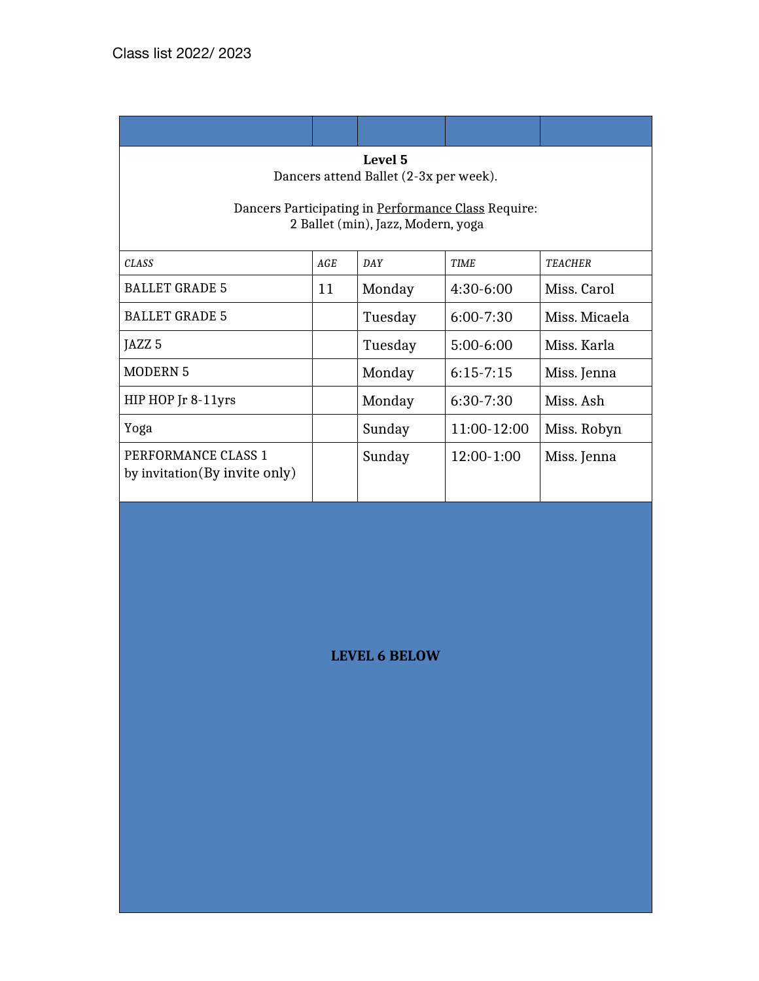| Level 5                                |
|----------------------------------------|
| Dancers attend Ballet (2-3x per week). |

Dancers Participating in Performance Class Require: 2 Ballet (min), Jazz, Modern, yoga

| <b>CLASS</b>                                          | AGE | DAY     | <b>TIME</b>   | <b>TEACHER</b> |
|-------------------------------------------------------|-----|---------|---------------|----------------|
| <b>BALLET GRADE 5</b>                                 | 11  | Monday  | $4:30-6:00$   | Miss. Carol    |
| <b>BALLET GRADE 5</b>                                 |     | Tuesday | $6:00 - 7:30$ | Miss, Micaela  |
| JAZZ <sub>5</sub>                                     |     | Tuesday | $5:00-6:00$   | Miss. Karla    |
| <b>MODERN 5</b>                                       |     | Monday  | $6:15-7:15$   | Miss. Jenna    |
| HIP HOP Jr 8-11yrs                                    |     | Monday  | $6:30-7:30$   | Miss. Ash      |
| Yoga                                                  |     | Sunday  | 11:00-12:00   | Miss. Robyn    |
| PERFORMANCE CLASS 1<br>by invitation (By invite only) |     | Sunday  | $12:00-1:00$  | Miss. Jenna    |

**LEVEL 6 BELOW**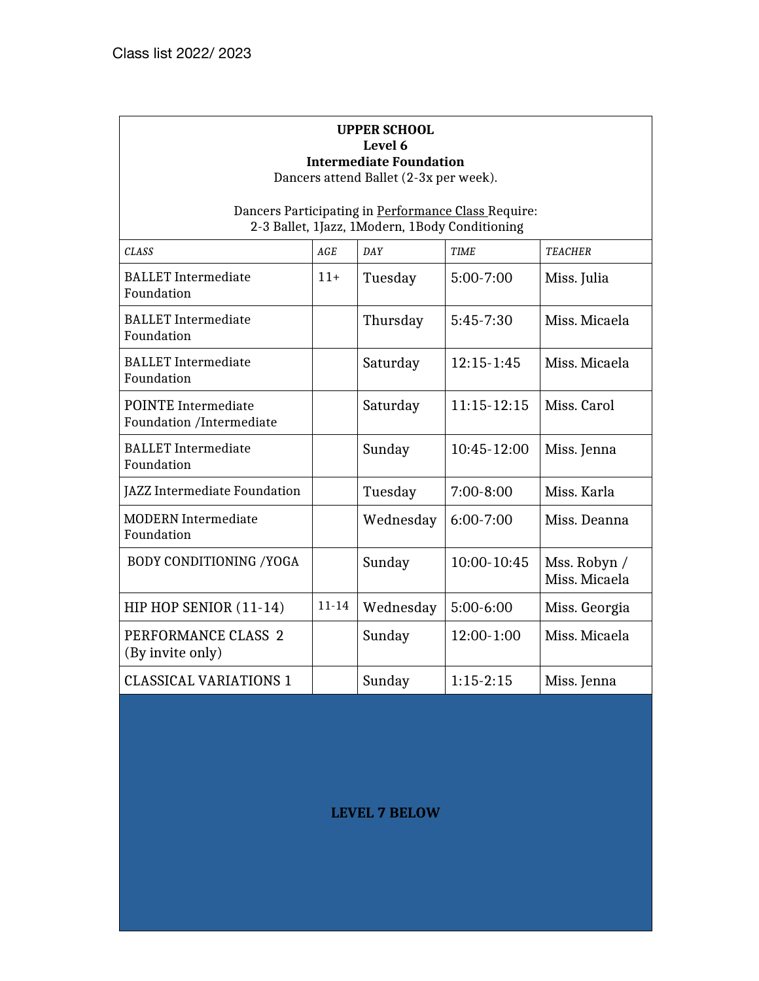#### **UPPER SCHOOL Level 6 Intermediate Foundation**

Dancers attend Ballet (2-3x per week).

Dancers Participating in Performance Class Require: 2-3 Ballet, 1Jazz, 1Modern, 1Body Conditioning

| <b>CLASS</b>                                           | AGE       | DAY       | <b>TIME</b>    | <b>TEACHER</b>                |
|--------------------------------------------------------|-----------|-----------|----------------|-------------------------------|
| <b>BALLET</b> Intermediate<br>Foundation               | $11+$     | Tuesday   | $5:00 - 7:00$  | Miss. Julia                   |
| <b>BALLET</b> Intermediate<br>Foundation               |           | Thursday  | $5:45-7:30$    | Miss. Micaela                 |
| <b>BALLET</b> Intermediate<br>Foundation               |           | Saturday  | $12:15 - 1:45$ | Miss. Micaela                 |
| <b>POINTE</b> Intermediate<br>Foundation /Intermediate |           | Saturday  | $11:15-12:15$  | Miss. Carol                   |
| <b>BALLET</b> Intermediate<br>Foundation               |           | Sunday    | $10:45-12:00$  | Miss. Jenna                   |
| JAZZ Intermediate Foundation                           |           | Tuesday   | $7:00 - 8:00$  | Miss. Karla                   |
| <b>MODERN</b> Intermediate<br>Foundation               |           | Wednesday | $6:00 - 7:00$  | Miss. Deanna                  |
| <b>BODY CONDITIONING / YOGA</b>                        |           | Sunday    | 10:00-10:45    | Mss. Robyn /<br>Miss. Micaela |
| HIP HOP SENIOR (11-14)                                 | $11 - 14$ | Wednesday | $5:00-6:00$    | Miss. Georgia                 |
| PERFORMANCE CLASS 2<br>(By invite only)                |           | Sunday    | 12:00-1:00     | Miss. Micaela                 |
| <b>CLASSICAL VARIATIONS 1</b>                          |           | Sunday    | $1:15-2:15$    | Miss. Jenna                   |

**LEVEL 7 BELOW**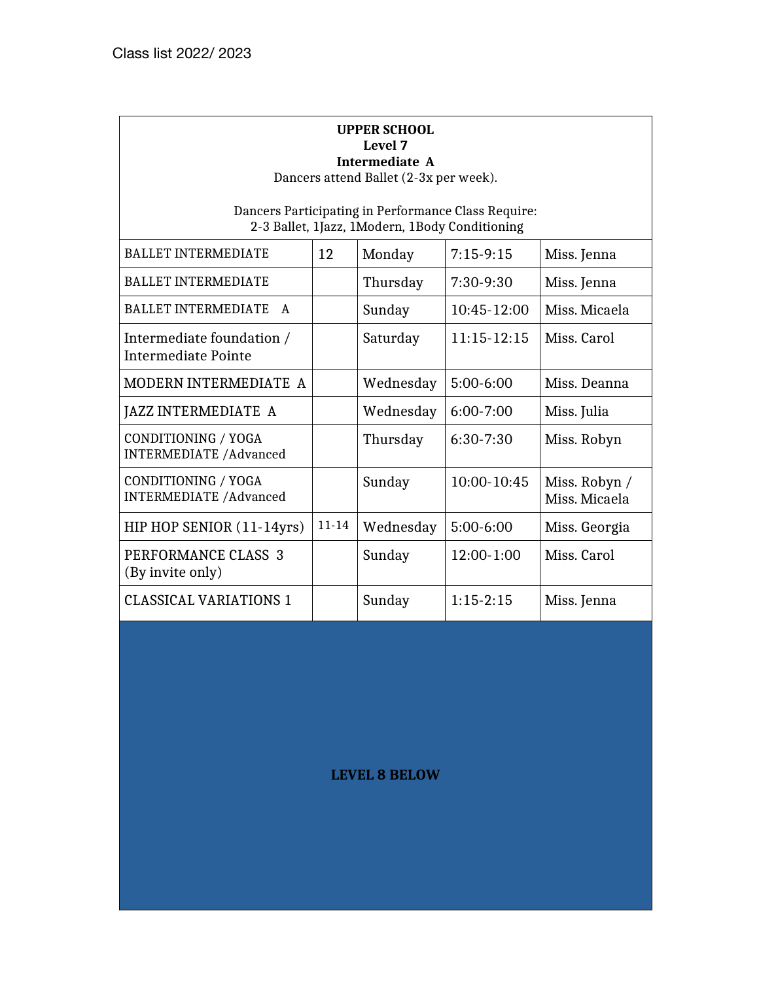#### **UPPER SCHOOL Level 7 Intermediate A**

Dancers attend Ballet (2-3x per week).

Dancers Participating in Performance Class Require: 2-3 Ballet, 1Jazz, 1Modern, 1Body Conditioning

| <b>BALLET INTERMEDIATE</b>                            | 12        | Monday    | $7:15-9:15$   | Miss. Jenna                    |
|-------------------------------------------------------|-----------|-----------|---------------|--------------------------------|
| <b>BALLET INTERMEDIATE</b>                            |           | Thursday  | 7:30-9:30     | Miss. Jenna                    |
| <b>BALLET INTERMEDIATE</b><br>A                       |           | Sunday    | 10:45-12:00   | Miss. Micaela                  |
| Intermediate foundation /<br>Intermediate Pointe      |           | Saturday  | $11:15-12:15$ | Miss. Carol                    |
| MODERN INTERMEDIATE A                                 |           | Wednesday | $5:00-6:00$   | Miss. Deanna                   |
| JAZZ INTERMEDIATE A                                   |           | Wednesday | $6:00 - 7:00$ | Miss. Julia                    |
| CONDITIONING / YOGA<br><b>INTERMEDIATE / Advanced</b> |           | Thursday  | $6:30-7:30$   | Miss. Robyn                    |
| CONDITIONING / YOGA<br><b>INTERMEDIATE / Advanced</b> |           | Sunday    | 10:00-10:45   | Miss. Robyn /<br>Miss. Micaela |
| HIP HOP SENIOR (11-14yrs)                             | $11 - 14$ | Wednesday | 5:00-6:00     | Miss. Georgia                  |
| PERFORMANCE CLASS 3<br>(By invite only)               |           | Sunday    | 12:00-1:00    | Miss. Carol                    |
| <b>CLASSICAL VARIATIONS 1</b>                         |           | Sunday    | $1:15-2:15$   | Miss. Jenna                    |

## **LEVEL 8 BELOW**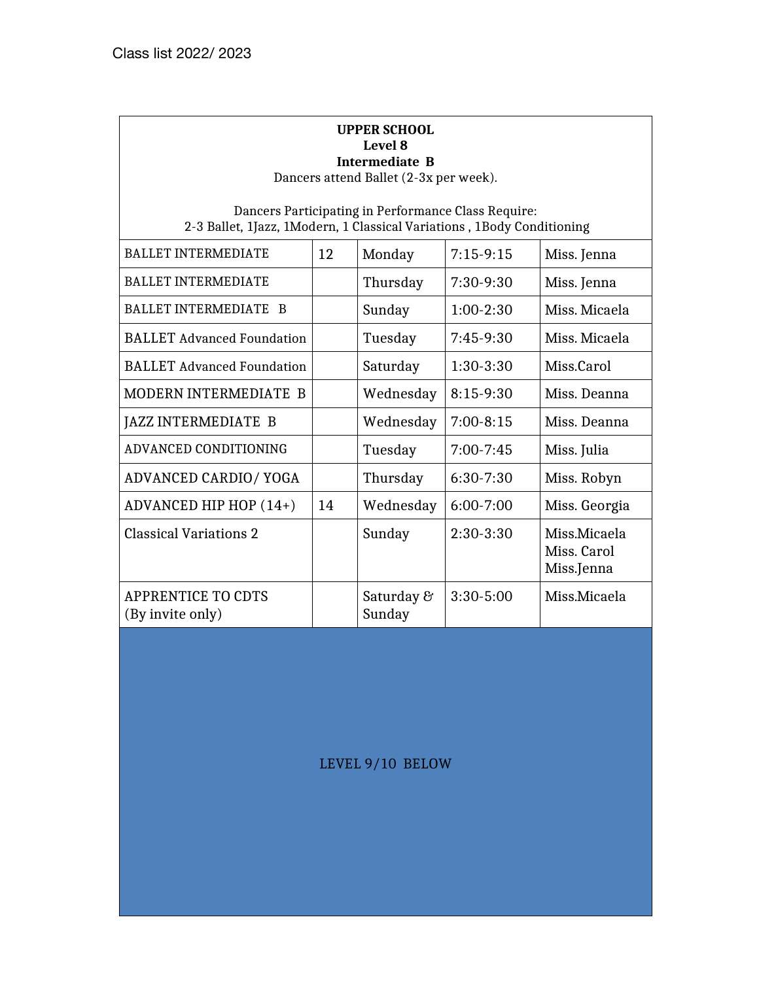## **UPPER SCHOOL Level 8 Intermediate B**

Dancers attend Ballet (2-3x per week).

Dancers Participating in Performance Class Require: 2-3 Ballet, 1Jazz, 1Modern, 1 Classical Variations , 1Body Conditioning

| <b>BALLET INTERMEDIATE</b>                    | 12 | Monday               | $7:15-9:15$   | Miss. Jenna                               |
|-----------------------------------------------|----|----------------------|---------------|-------------------------------------------|
| <b>BALLET INTERMEDIATE</b>                    |    | Thursday             | 7:30-9:30     | Miss. Jenna                               |
| BALLET INTERMEDIATE B                         |    | Sunday               | $1:00-2:30$   | Miss. Micaela                             |
| <b>BALLET</b> Advanced Foundation             |    | Tuesday              | 7:45-9:30     | Miss. Micaela                             |
| <b>BALLET</b> Advanced Foundation             |    | Saturday             | 1:30-3:30     | Miss.Carol                                |
| <b>MODERN INTERMEDIATE B</b>                  |    | Wednesday            | $8:15-9:30$   | Miss. Deanna                              |
| JAZZ INTERMEDIATE B                           |    | Wednesday            | $7:00-8:15$   | Miss. Deanna                              |
| ADVANCED CONDITIONING                         |    | Tuesday              | $7:00 - 7:45$ | Miss. Julia                               |
| ADVANCED CARDIO/ YOGA                         |    | Thursday             | $6:30-7:30$   | Miss. Robyn                               |
| ADVANCED HIP HOP (14+)                        | 14 | Wednesday            | $6:00 - 7:00$ | Miss. Georgia                             |
| <b>Classical Variations 2</b>                 |    | Sunday               | $2:30-3:30$   | Miss.Micaela<br>Miss. Carol<br>Miss.Jenna |
| <b>APPRENTICE TO CDTS</b><br>(By invite only) |    | Saturday &<br>Sunday | $3:30 - 5:00$ | Miss.Micaela                              |

LEVEL 9/10 BELOW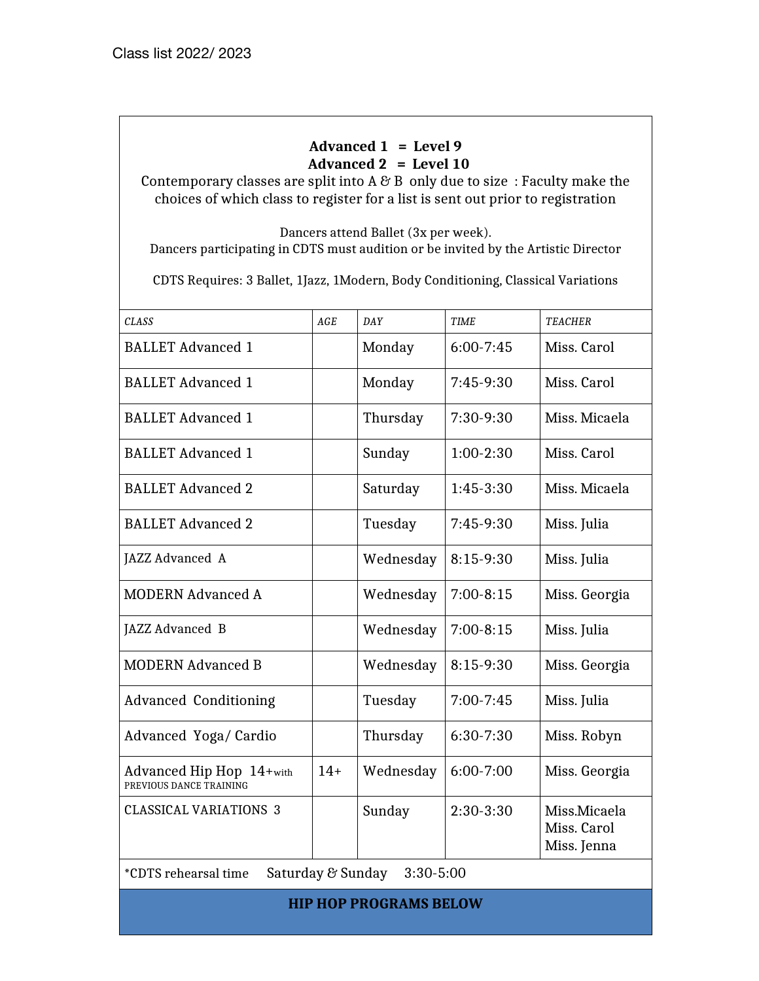## **Advanced 1 = Level 9 Advanced 2 = Level 10**

Contemporary classes are split into A  $\mathcal C$  B only due to size: Faculty make the choices of which class to register for a list is sent out prior to registration

Dancers attend Ballet (3x per week). Dancers participating in CDTS must audition or be invited by the Artistic Director

CDTS Requires: 3 Ballet, 1Jazz, 1Modern, Body Conditioning, Classical Variations

| <b>CLASS</b>                                        | $\operatorname{AGE}$ | <b>DAY</b>    | <b>TIME</b>   | <b>TEACHER</b>                             |
|-----------------------------------------------------|----------------------|---------------|---------------|--------------------------------------------|
| <b>BALLET Advanced 1</b>                            |                      | Monday        | $6:00 - 7:45$ | Miss. Carol                                |
| <b>BALLET Advanced 1</b>                            |                      | Monday        | $7:45-9:30$   | Miss. Carol                                |
| <b>BALLET Advanced 1</b>                            |                      | Thursday      | 7:30-9:30     | Miss. Micaela                              |
| <b>BALLET Advanced 1</b>                            |                      | Sunday        | $1:00-2:30$   | Miss. Carol                                |
| <b>BALLET Advanced 2</b>                            |                      | Saturday      | $1:45-3:30$   | Miss. Micaela                              |
| <b>BALLET Advanced 2</b>                            |                      | Tuesday       | 7:45-9:30     | Miss. Julia                                |
| JAZZ Advanced A                                     |                      | Wednesday     | $8:15-9:30$   | Miss. Julia                                |
| <b>MODERN Advanced A</b>                            |                      | Wednesday     | $7:00-8:15$   | Miss. Georgia                              |
| JAZZ Advanced B                                     |                      | Wednesday     | $7:00-8:15$   | Miss. Julia                                |
| <b>MODERN Advanced B</b>                            |                      | Wednesday     | 8:15-9:30     | Miss. Georgia                              |
| <b>Advanced Conditioning</b>                        |                      | Tuesday       | $7:00 - 7:45$ | Miss. Julia                                |
| Advanced Yoga/ Cardio                               |                      | Thursday      | $6:30-7:30$   | Miss. Robyn                                |
| Advanced Hip Hop 14+with<br>PREVIOUS DANCE TRAINING | $14+$                | Wednesday     | 6:00-7:00     | Miss. Georgia                              |
| <b>CLASSICAL VARIATIONS 3</b>                       |                      | Sunday        | $2:30-3:30$   | Miss.Micaela<br>Miss. Carol<br>Miss. Jenna |
| Saturday & Sunday<br><i>*CDTS</i> rehearsal time    |                      | $3:30 - 5:00$ |               |                                            |

**HIP HOP PROGRAMS BELOW**